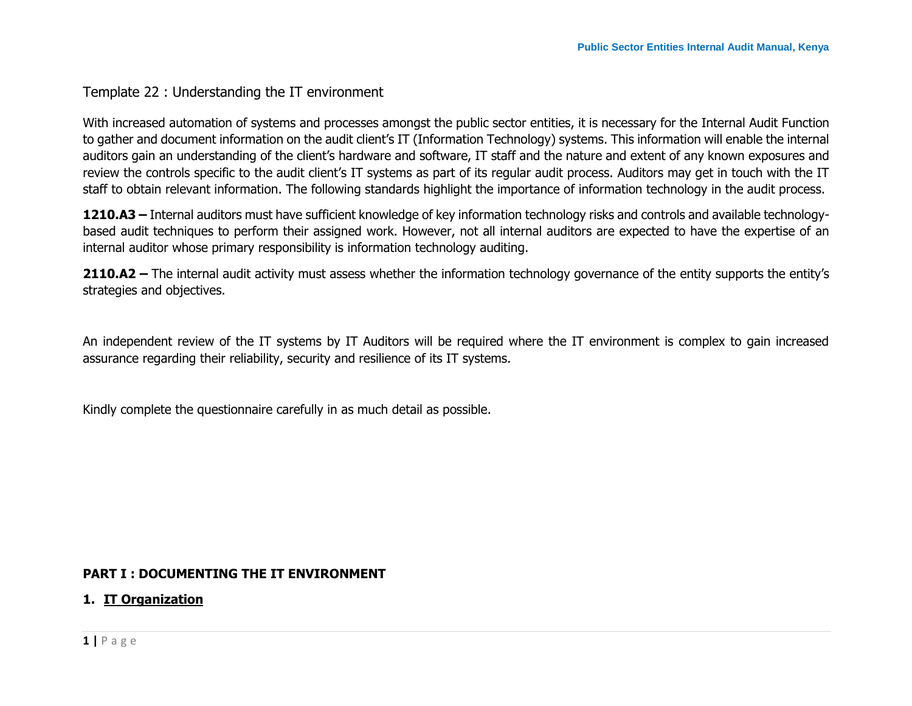# Template 22 : Understanding the IT environment

With increased automation of systems and processes amongst the public sector entities, it is necessary for the Internal Audit Function to gather and document information on the audit client's IT (Information Technology) systems. This information will enable the internal auditors gain an understanding of the client's hardware and software, IT staff and the nature and extent of any known exposures and review the controls specific to the audit client's IT systems as part of its regular audit process. Auditors may get in touch with the IT staff to obtain relevant information. The following standards highlight the importance of information technology in the audit process.

**1210.A3 –** Internal auditors must have sufficient knowledge of key information technology risks and controls and available technologybased audit techniques to perform their assigned work. However, not all internal auditors are expected to have the expertise of an internal auditor whose primary responsibility is information technology auditing.

**2110.A2 –** The internal audit activity must assess whether the information technology governance of the entity supports the entity's strategies and objectives.

An independent review of the IT systems by IT Auditors will be required where the IT environment is complex to gain increased assurance regarding their reliability, security and resilience of its IT systems.

Kindly complete the questionnaire carefully in as much detail as possible.

# **PART I : DOCUMENTING THE IT ENVIRONMENT**

#### **1. IT Organization**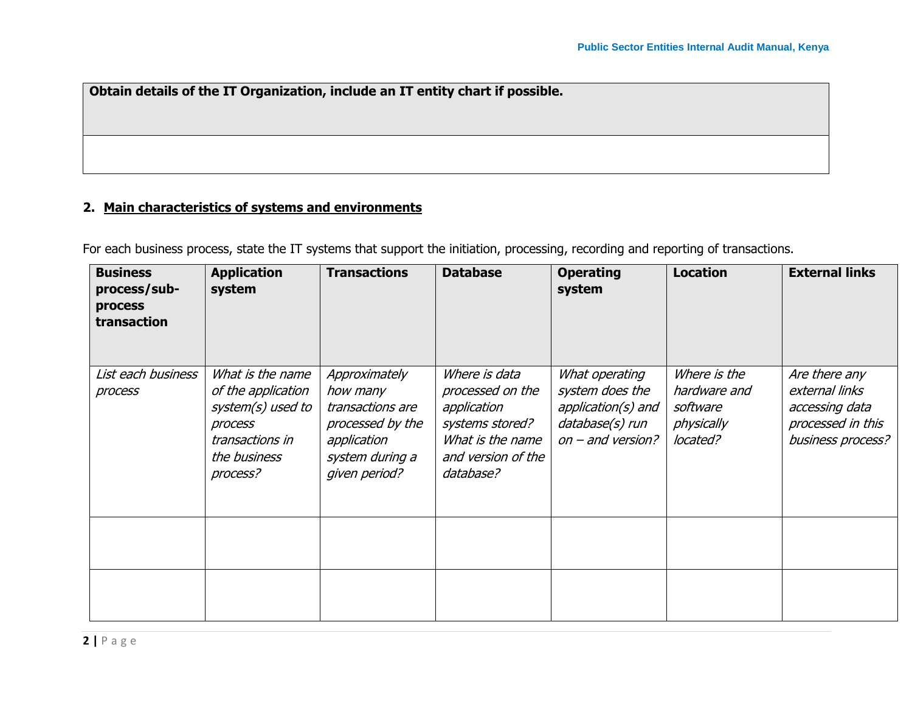**Obtain details of the IT Organization, include an IT entity chart if possible.**

# **2. Main characteristics of systems and environments**

For each business process, state the IT systems that support the initiation, processing, recording and reporting of transactions.

| <b>Business</b><br>process/sub-<br>process<br>transaction | <b>Application</b><br>system                                                                                          | <b>Transactions</b>                                                                                                  | <b>Database</b>                                                                                                            | <b>Operating</b><br>system                                                                        | <b>Location</b>                                                    | <b>External links</b>                                                                       |
|-----------------------------------------------------------|-----------------------------------------------------------------------------------------------------------------------|----------------------------------------------------------------------------------------------------------------------|----------------------------------------------------------------------------------------------------------------------------|---------------------------------------------------------------------------------------------------|--------------------------------------------------------------------|---------------------------------------------------------------------------------------------|
| List each business<br>process                             | What is the name<br>of the application<br>system(s) used to<br>process<br>transactions in<br>the business<br>process? | Approximately<br>how many<br>transactions are<br>processed by the<br>application<br>system during a<br>given period? | Where is data<br>processed on the<br>application<br>systems stored?<br>What is the name<br>and version of the<br>database? | What operating<br>system does the<br>application(s) and<br>database(s) run<br>$on$ – and version? | Where is the<br>hardware and<br>software<br>physically<br>located? | Are there any<br>external links<br>accessing data<br>processed in this<br>business process? |
|                                                           |                                                                                                                       |                                                                                                                      |                                                                                                                            |                                                                                                   |                                                                    |                                                                                             |
|                                                           |                                                                                                                       |                                                                                                                      |                                                                                                                            |                                                                                                   |                                                                    |                                                                                             |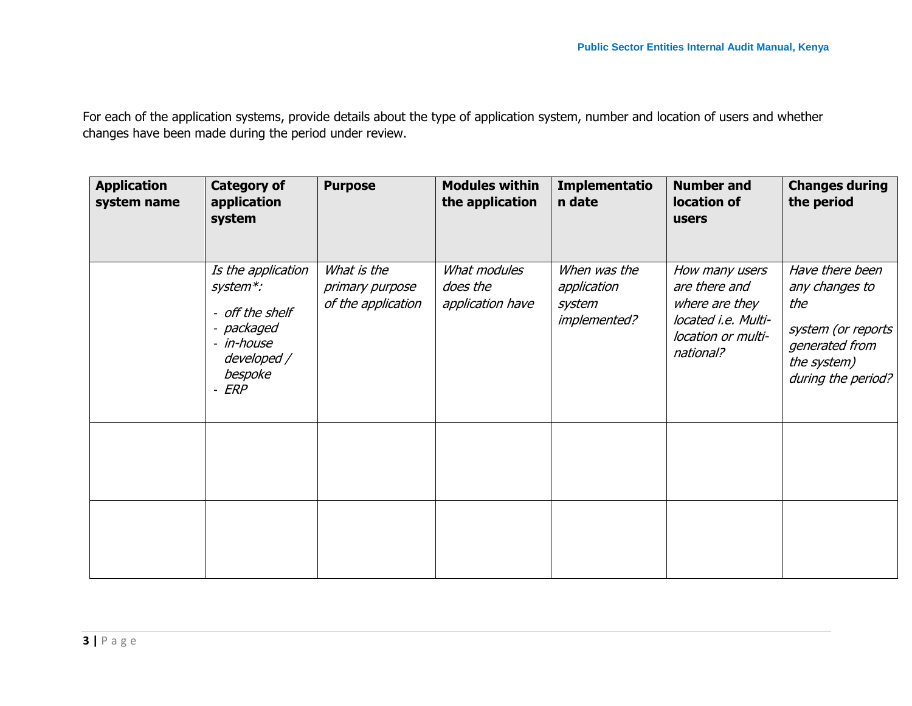For each of the application systems, provide details about the type of application system, number and location of users and whether changes have been made during the period under review.

| <b>Application</b><br>system name | <b>Category of</b><br>application<br>system                                                                      | <b>Purpose</b>                                       | <b>Modules within</b><br>the application     | Implementatio<br>n date                               | <b>Number and</b><br>location of<br>users                                                                   | <b>Changes during</b><br>the period                                                                                   |
|-----------------------------------|------------------------------------------------------------------------------------------------------------------|------------------------------------------------------|----------------------------------------------|-------------------------------------------------------|-------------------------------------------------------------------------------------------------------------|-----------------------------------------------------------------------------------------------------------------------|
|                                   | Is the application<br>system*:<br>- off the shelf<br>- packaged<br>- in-house<br>developed /<br>bespoke<br>- ERP | What is the<br>primary purpose<br>of the application | What modules<br>does the<br>application have | When was the<br>application<br>system<br>implemented? | How many users<br>are there and<br>where are they<br>located i.e. Multi-<br>location or multi-<br>national? | Have there been<br>any changes to<br>the<br>system (or reports<br>generated from<br>the system)<br>during the period? |
|                                   |                                                                                                                  |                                                      |                                              |                                                       |                                                                                                             |                                                                                                                       |
|                                   |                                                                                                                  |                                                      |                                              |                                                       |                                                                                                             |                                                                                                                       |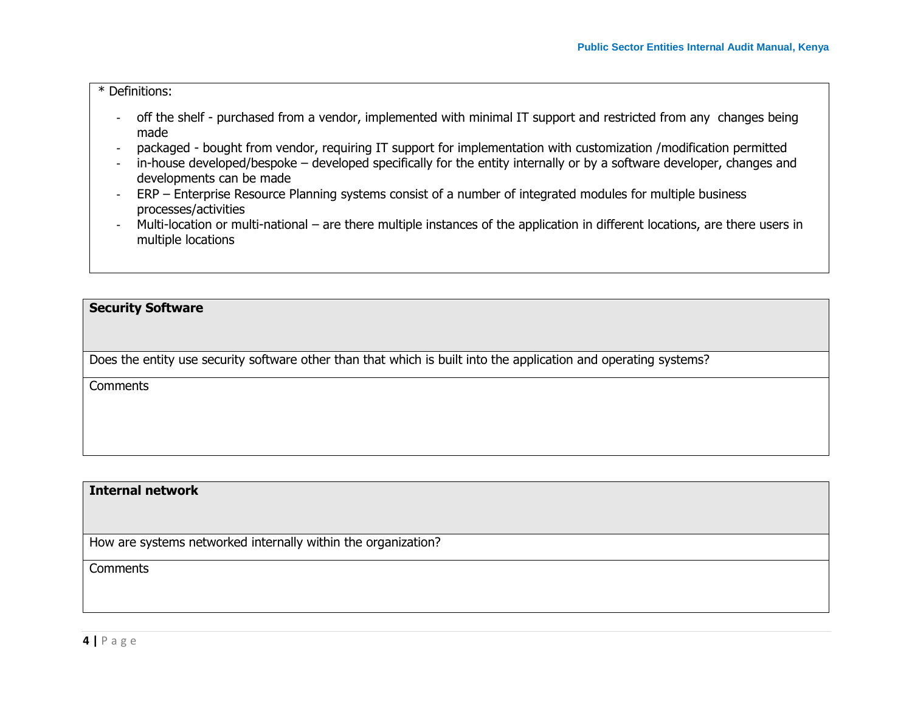#### \* Definitions:

- off the shelf purchased from a vendor, implemented with minimal IT support and restricted from any changes being made
- packaged bought from vendor, requiring IT support for implementation with customization /modification permitted
- in-house developed/bespoke developed specifically for the entity internally or by a software developer, changes and developments can be made
- ERP Enterprise Resource Planning systems consist of a number of integrated modules for multiple business processes/activities
- Multi-location or multi-national are there multiple instances of the application in different locations, are there users in multiple locations

#### **Security Software**

Does the entity use security software other than that which is built into the application and operating systems?

**Comments** 

#### **Internal network**

How are systems networked internally within the organization?

**Comments**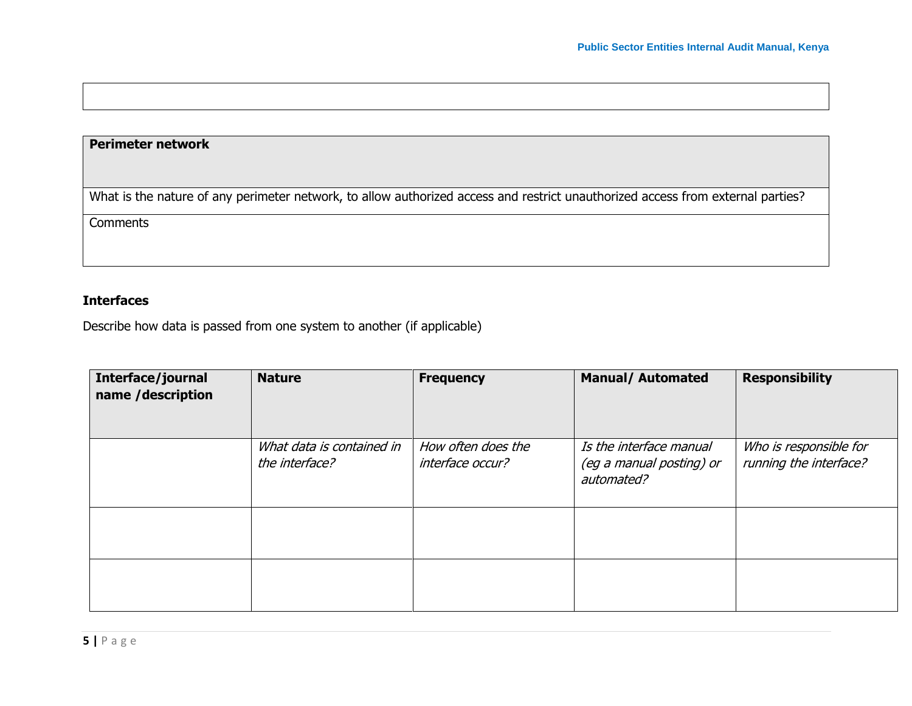## **Perimeter network**

What is the nature of any perimeter network, to allow authorized access and restrict unauthorized access from external parties?

**Comments** 

# **Interfaces**

Describe how data is passed from one system to another (if applicable)

| Interface/journal<br>name /description | <b>Nature</b>                               | <b>Frequency</b>                       | <b>Manual/ Automated</b>                                          | <b>Responsibility</b>                            |
|----------------------------------------|---------------------------------------------|----------------------------------------|-------------------------------------------------------------------|--------------------------------------------------|
|                                        | What data is contained in<br>the interface? | How often does the<br>interface occur? | Is the interface manual<br>(eg a manual posting) or<br>automated? | Who is responsible for<br>running the interface? |
|                                        |                                             |                                        |                                                                   |                                                  |
|                                        |                                             |                                        |                                                                   |                                                  |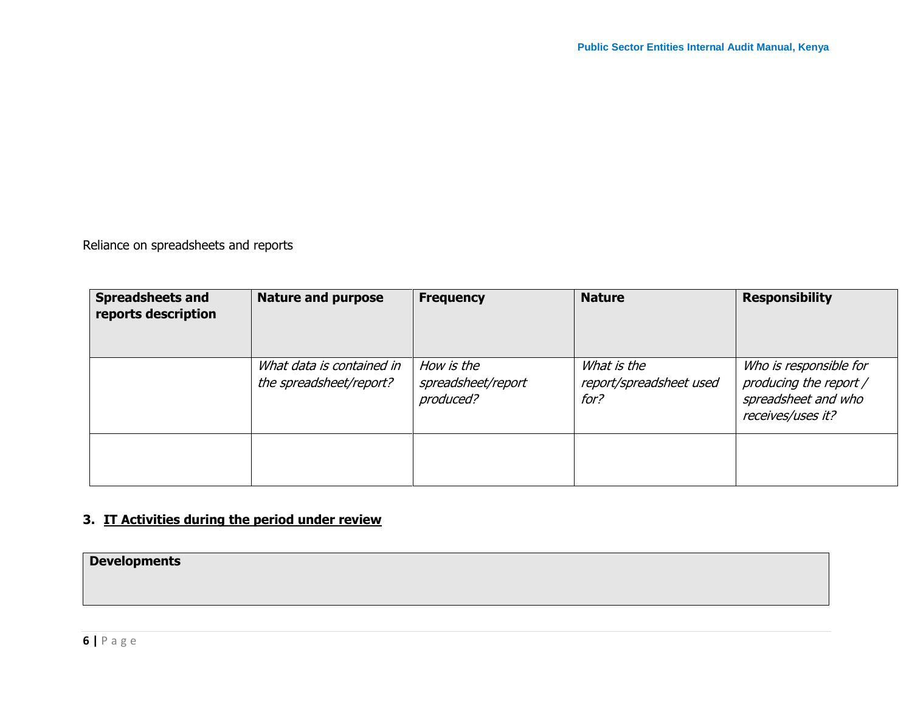Reliance on spreadsheets and reports

| <b>Spreadsheets and</b><br>reports description | <b>Nature and purpose</b>                            | <b>Frequency</b>                              | <b>Nature</b>                                  | <b>Responsibility</b>                                                                        |
|------------------------------------------------|------------------------------------------------------|-----------------------------------------------|------------------------------------------------|----------------------------------------------------------------------------------------------|
|                                                | What data is contained in<br>the spreadsheet/report? | How is the<br>spreadsheet/report<br>produced? | What is the<br>report/spreadsheet used<br>for? | Who is responsible for<br>producing the report /<br>spreadsheet and who<br>receives/uses it? |
|                                                |                                                      |                                               |                                                |                                                                                              |

# **3. IT Activities during the period under review**

**Developments**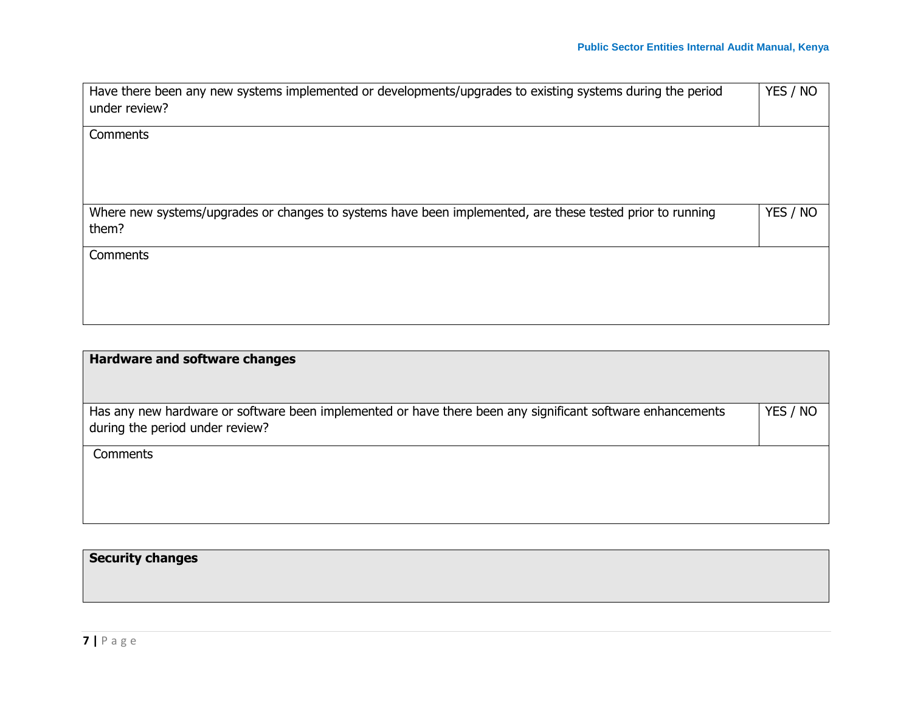| Have there been any new systems implemented or developments/upgrades to existing systems during the period<br>under review? | YES / NO |
|-----------------------------------------------------------------------------------------------------------------------------|----------|
| Comments                                                                                                                    |          |
| Where new systems/upgrades or changes to systems have been implemented, are these tested prior to running<br>them?          | YES / NO |
| Comments                                                                                                                    |          |

| <b>Hardware and software changes</b>                                                                                                          |          |
|-----------------------------------------------------------------------------------------------------------------------------------------------|----------|
| Has any new hardware or software been implemented or have there been any significant software enhancements<br>during the period under review? | YES / NO |
| Comments                                                                                                                                      |          |

**Security changes**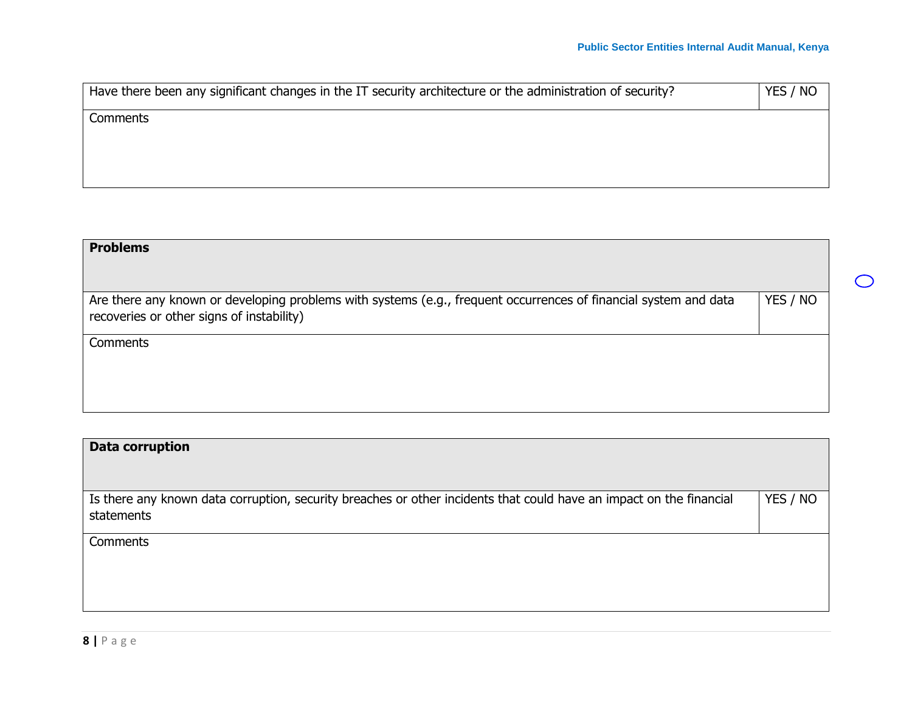$\bigcirc$ 

| Have there been any significant changes in the IT security architecture or the administration of security? | YES / NO |
|------------------------------------------------------------------------------------------------------------|----------|
| Comments                                                                                                   |          |
|                                                                                                            |          |
|                                                                                                            |          |

| <b>Problems</b>                                                                                                                                               |          |
|---------------------------------------------------------------------------------------------------------------------------------------------------------------|----------|
| Are there any known or developing problems with systems (e.g., frequent occurrences of financial system and data<br>recoveries or other signs of instability) | YES / NO |
| Comments                                                                                                                                                      |          |
|                                                                                                                                                               |          |

| Data corruption                                                                                                                   |          |
|-----------------------------------------------------------------------------------------------------------------------------------|----------|
| Is there any known data corruption, security breaches or other incidents that could have an impact on the financial<br>statements | YES / NO |
| Comments                                                                                                                          |          |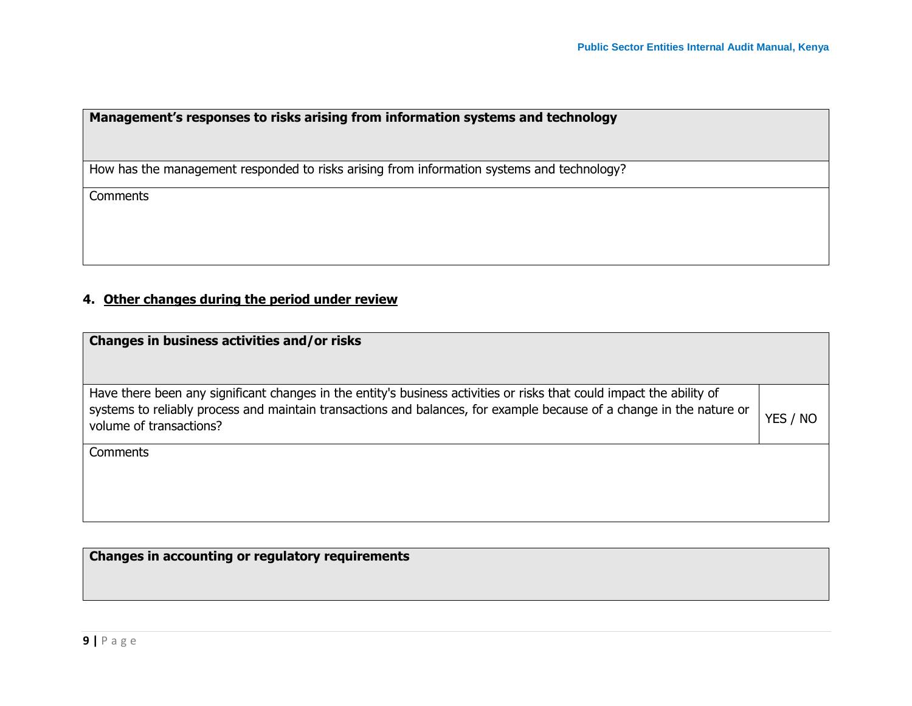# **Management's responses to risks arising from information systems and technology**

How has the management responded to risks arising from information systems and technology?

**Comments** 

# **4. Other changes during the period under review**

| Changes in business activities and/or risks                                                                                                                                                                                                                              |          |
|--------------------------------------------------------------------------------------------------------------------------------------------------------------------------------------------------------------------------------------------------------------------------|----------|
| Have there been any significant changes in the entity's business activities or risks that could impact the ability of<br>systems to reliably process and maintain transactions and balances, for example because of a change in the nature or<br>volume of transactions? | YES / NO |
| Comments                                                                                                                                                                                                                                                                 |          |

**Changes in accounting or regulatory requirements**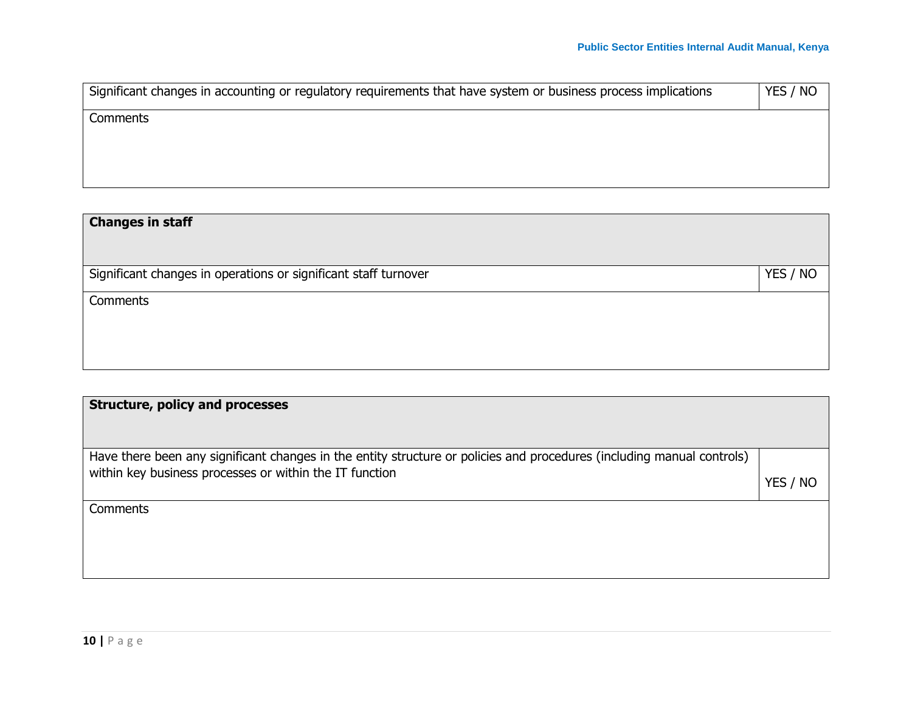| Significant changes in accounting or regulatory requirements that have system or business process implications | YES / NO |
|----------------------------------------------------------------------------------------------------------------|----------|
| Comments                                                                                                       |          |
|                                                                                                                |          |
|                                                                                                                |          |

| <b>Changes in staff</b>                                         |          |
|-----------------------------------------------------------------|----------|
| Significant changes in operations or significant staff turnover | YES / NO |
| Comments                                                        |          |
|                                                                 |          |
|                                                                 |          |

| <b>Structure, policy and processes</b>                                                                                                                                            |          |
|-----------------------------------------------------------------------------------------------------------------------------------------------------------------------------------|----------|
| Have there been any significant changes in the entity structure or policies and procedures (including manual controls)<br>within key business processes or within the IT function | YES / NO |
| Comments                                                                                                                                                                          |          |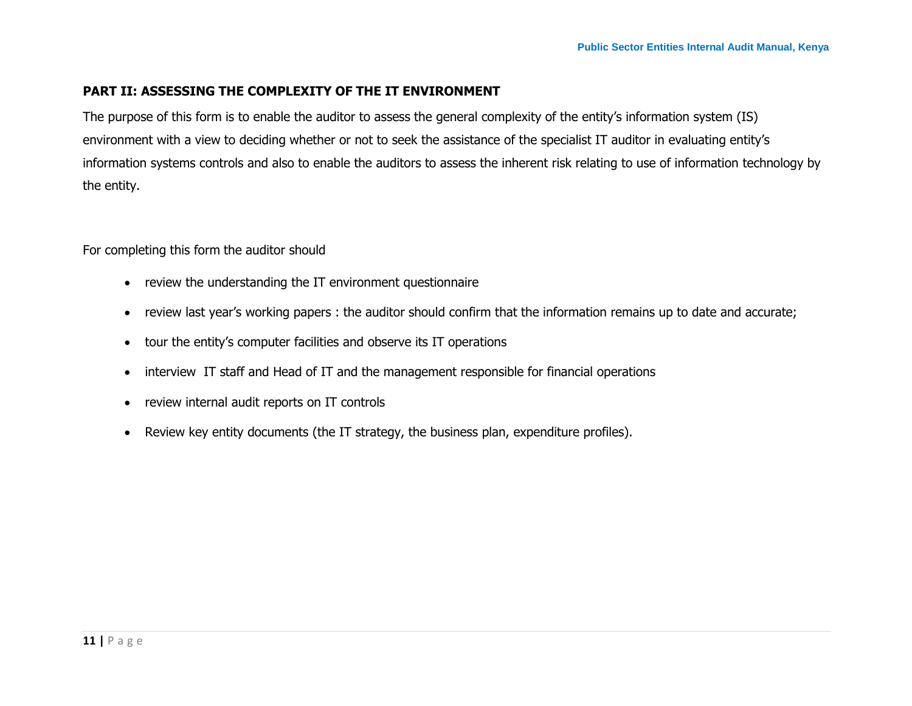#### **PART II: ASSESSING THE COMPLEXITY OF THE IT ENVIRONMENT**

The purpose of this form is to enable the auditor to assess the general complexity of the entity's information system (IS) environment with a view to deciding whether or not to seek the assistance of the specialist IT auditor in evaluating entity's information systems controls and also to enable the auditors to assess the inherent risk relating to use of information technology by the entity.

For completing this form the auditor should

- review the understanding the IT environment questionnaire
- review last year's working papers : the auditor should confirm that the information remains up to date and accurate;
- tour the entity's computer facilities and observe its IT operations
- interview IT staff and Head of IT and the management responsible for financial operations
- review internal audit reports on IT controls
- Review key entity documents (the IT strategy, the business plan, expenditure profiles).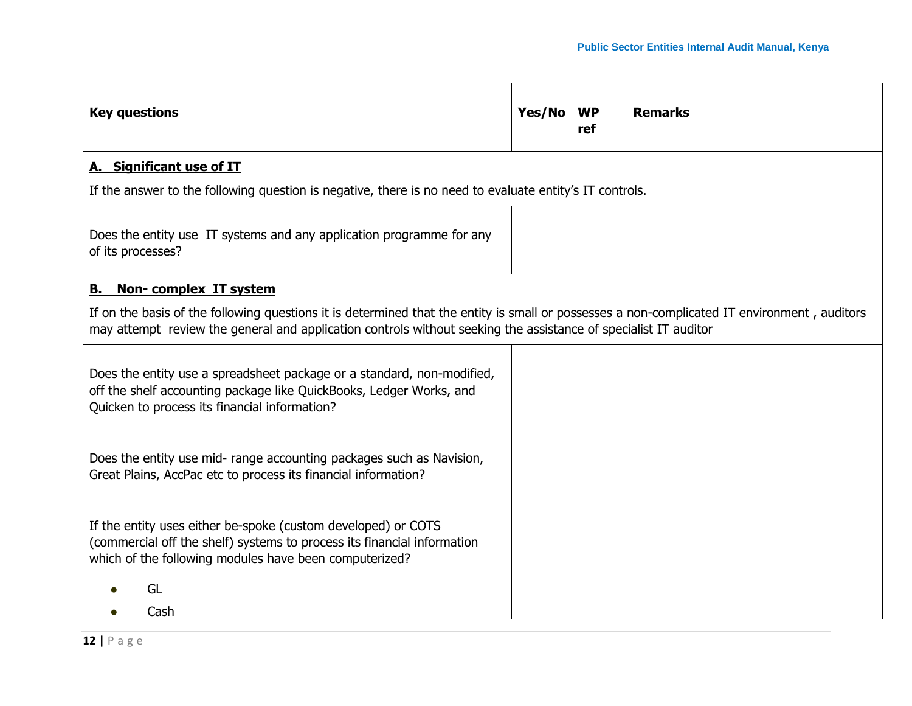| <b>Key questions</b>                                                                                                                                                                                                                                            | Yes/No | <b>WP</b><br>ref | <b>Remarks</b> |
|-----------------------------------------------------------------------------------------------------------------------------------------------------------------------------------------------------------------------------------------------------------------|--------|------------------|----------------|
| A. Significant use of IT                                                                                                                                                                                                                                        |        |                  |                |
| If the answer to the following question is negative, there is no need to evaluate entity's IT controls.                                                                                                                                                         |        |                  |                |
| Does the entity use IT systems and any application programme for any<br>of its processes?                                                                                                                                                                       |        |                  |                |
| Non-complex IT system<br>В.                                                                                                                                                                                                                                     |        |                  |                |
| If on the basis of the following questions it is determined that the entity is small or possesses a non-complicated IT environment, auditors<br>may attempt review the general and application controls without seeking the assistance of specialist IT auditor |        |                  |                |
| Does the entity use a spreadsheet package or a standard, non-modified,<br>off the shelf accounting package like QuickBooks, Ledger Works, and<br>Quicken to process its financial information?                                                                  |        |                  |                |
| Does the entity use mid- range accounting packages such as Navision,<br>Great Plains, AccPac etc to process its financial information?                                                                                                                          |        |                  |                |
| If the entity uses either be-spoke (custom developed) or COTS<br>(commercial off the shelf) systems to process its financial information<br>which of the following modules have been computerized?                                                              |        |                  |                |
| GL<br>Cash                                                                                                                                                                                                                                                      |        |                  |                |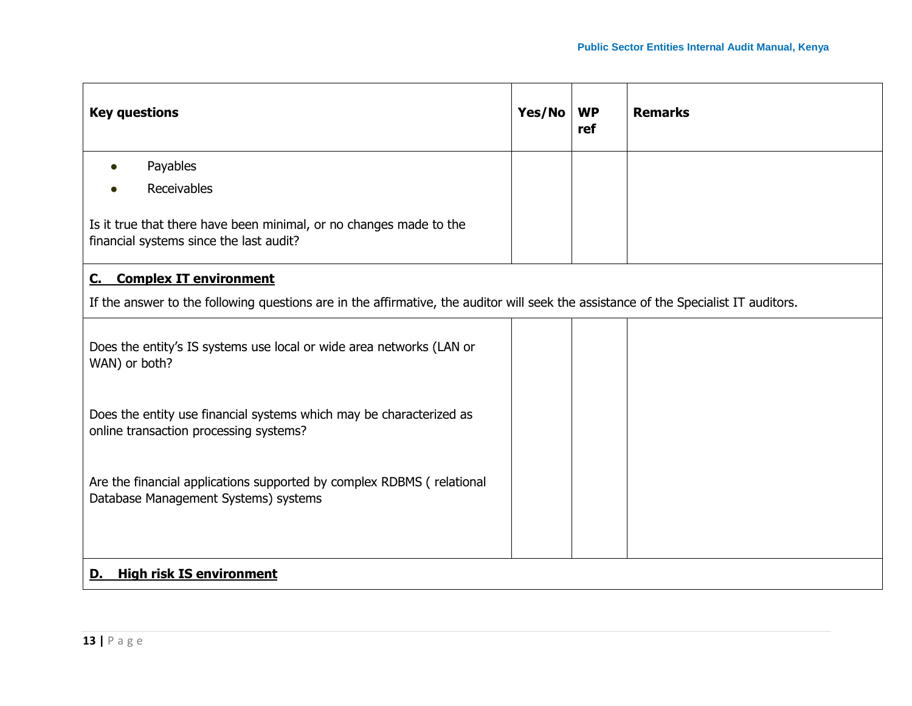| <b>Key questions</b>                                                                                                                 |  | <b>WP</b><br>ref | <b>Remarks</b> |
|--------------------------------------------------------------------------------------------------------------------------------------|--|------------------|----------------|
| Payables                                                                                                                             |  |                  |                |
| <b>Receivables</b>                                                                                                                   |  |                  |                |
| Is it true that there have been minimal, or no changes made to the<br>financial systems since the last audit?                        |  |                  |                |
| <b>Complex IT environment</b><br><u>C.</u>                                                                                           |  |                  |                |
| If the answer to the following questions are in the affirmative, the auditor will seek the assistance of the Specialist IT auditors. |  |                  |                |
| Does the entity's IS systems use local or wide area networks (LAN or<br>WAN) or both?                                                |  |                  |                |
| Does the entity use financial systems which may be characterized as<br>online transaction processing systems?                        |  |                  |                |
| Are the financial applications supported by complex RDBMS (relational<br>Database Management Systems) systems                        |  |                  |                |
| <b>High risk IS environment</b><br>D.                                                                                                |  |                  |                |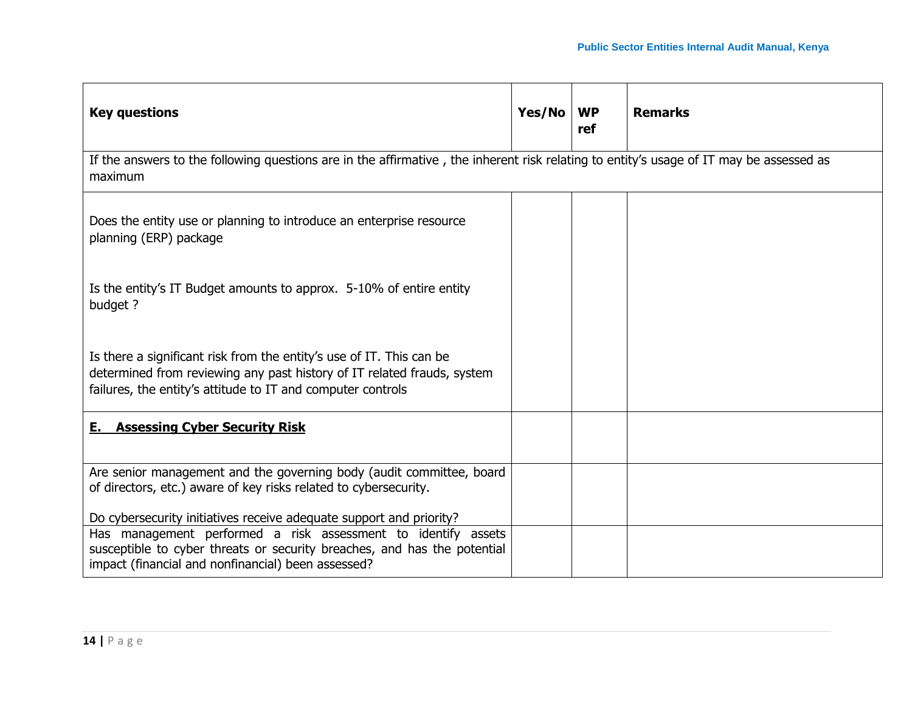| <b>Key questions</b>                                                                                                                                                                                                                                                   | Yes/No | <b>WP</b><br>ref | <b>Remarks</b> |
|------------------------------------------------------------------------------------------------------------------------------------------------------------------------------------------------------------------------------------------------------------------------|--------|------------------|----------------|
| If the answers to the following questions are in the affirmative, the inherent risk relating to entity's usage of IT may be assessed as<br>maximum                                                                                                                     |        |                  |                |
| Does the entity use or planning to introduce an enterprise resource<br>planning (ERP) package                                                                                                                                                                          |        |                  |                |
| Is the entity's IT Budget amounts to approx. 5-10% of entire entity<br>budget ?                                                                                                                                                                                        |        |                  |                |
| Is there a significant risk from the entity's use of IT. This can be<br>determined from reviewing any past history of IT related frauds, system<br>failures, the entity's attitude to IT and computer controls                                                         |        |                  |                |
| <b>E.</b> Assessing Cyber Security Risk                                                                                                                                                                                                                                |        |                  |                |
| Are senior management and the governing body (audit committee, board<br>of directors, etc.) aware of key risks related to cybersecurity.                                                                                                                               |        |                  |                |
| Do cybersecurity initiatives receive adequate support and priority?<br>Has management performed a risk assessment to identify assets<br>susceptible to cyber threats or security breaches, and has the potential<br>impact (financial and nonfinancial) been assessed? |        |                  |                |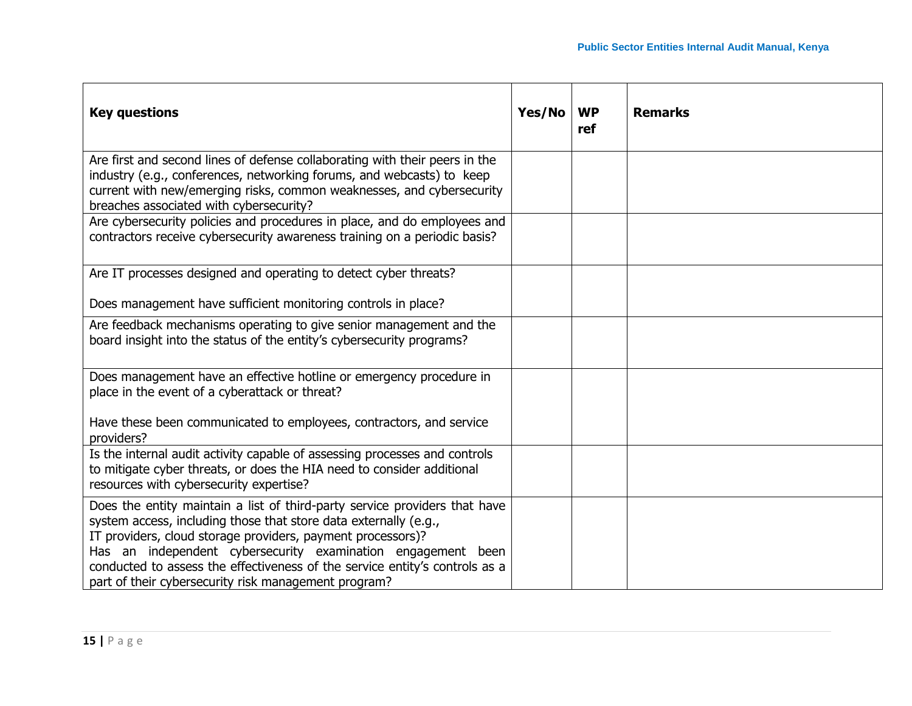| <b>Key questions</b>                                                                                                                                                                                                                                                                                                                                                                                                 | Yes/No | <b>WP</b><br>ref | <b>Remarks</b> |
|----------------------------------------------------------------------------------------------------------------------------------------------------------------------------------------------------------------------------------------------------------------------------------------------------------------------------------------------------------------------------------------------------------------------|--------|------------------|----------------|
| Are first and second lines of defense collaborating with their peers in the<br>industry (e.g., conferences, networking forums, and webcasts) to keep<br>current with new/emerging risks, common weaknesses, and cybersecurity<br>breaches associated with cybersecurity?                                                                                                                                             |        |                  |                |
| Are cybersecurity policies and procedures in place, and do employees and<br>contractors receive cybersecurity awareness training on a periodic basis?                                                                                                                                                                                                                                                                |        |                  |                |
| Are IT processes designed and operating to detect cyber threats?                                                                                                                                                                                                                                                                                                                                                     |        |                  |                |
| Does management have sufficient monitoring controls in place?                                                                                                                                                                                                                                                                                                                                                        |        |                  |                |
| Are feedback mechanisms operating to give senior management and the<br>board insight into the status of the entity's cybersecurity programs?                                                                                                                                                                                                                                                                         |        |                  |                |
| Does management have an effective hotline or emergency procedure in<br>place in the event of a cyberattack or threat?                                                                                                                                                                                                                                                                                                |        |                  |                |
| Have these been communicated to employees, contractors, and service<br>providers?                                                                                                                                                                                                                                                                                                                                    |        |                  |                |
| Is the internal audit activity capable of assessing processes and controls<br>to mitigate cyber threats, or does the HIA need to consider additional<br>resources with cybersecurity expertise?                                                                                                                                                                                                                      |        |                  |                |
| Does the entity maintain a list of third-party service providers that have<br>system access, including those that store data externally (e.g.,<br>IT providers, cloud storage providers, payment processors)?<br>Has an independent cybersecurity examination engagement been<br>conducted to assess the effectiveness of the service entity's controls as a<br>part of their cybersecurity risk management program? |        |                  |                |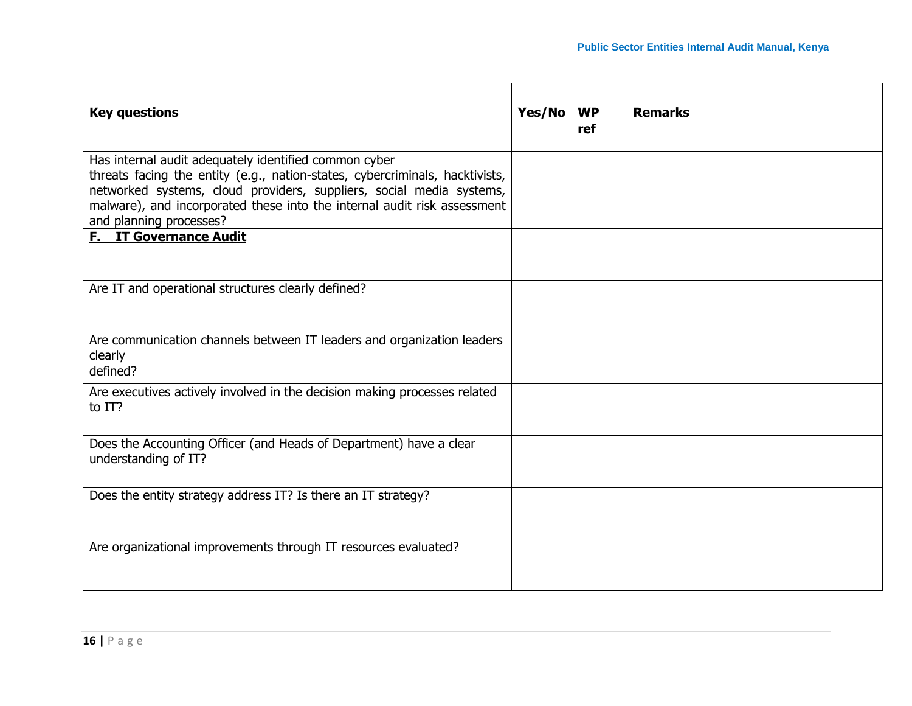| <b>Key questions</b>                                                                                                                                                                                                                                                                                                 | Yes/No | <b>WP</b><br>ref | <b>Remarks</b> |
|----------------------------------------------------------------------------------------------------------------------------------------------------------------------------------------------------------------------------------------------------------------------------------------------------------------------|--------|------------------|----------------|
| Has internal audit adequately identified common cyber<br>threats facing the entity (e.g., nation-states, cybercriminals, hacktivists,<br>networked systems, cloud providers, suppliers, social media systems,<br>malware), and incorporated these into the internal audit risk assessment<br>and planning processes? |        |                  |                |
| <b>F.</b> IT Governance Audit                                                                                                                                                                                                                                                                                        |        |                  |                |
| Are IT and operational structures clearly defined?                                                                                                                                                                                                                                                                   |        |                  |                |
| Are communication channels between IT leaders and organization leaders<br>clearly<br>defined?                                                                                                                                                                                                                        |        |                  |                |
| Are executives actively involved in the decision making processes related<br>to IT?                                                                                                                                                                                                                                  |        |                  |                |
| Does the Accounting Officer (and Heads of Department) have a clear<br>understanding of IT?                                                                                                                                                                                                                           |        |                  |                |
| Does the entity strategy address IT? Is there an IT strategy?                                                                                                                                                                                                                                                        |        |                  |                |
| Are organizational improvements through IT resources evaluated?                                                                                                                                                                                                                                                      |        |                  |                |